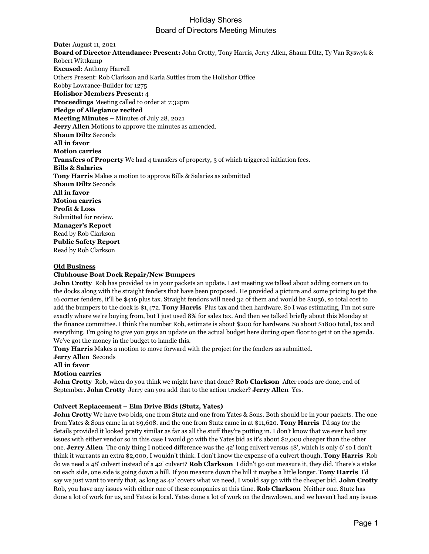# Holiday Shores Board of Directors Meeting Minutes

**Date:** August 11, 2021 **Board of Director Attendance: Present:** John Crotty, Tony Harris, Jerry Allen, Shaun Diltz, Ty Van Ryswyk & Robert Wittkamp **Excused:** Anthony Harrell Others Present: Rob Clarkson and Karla Suttles from the Holishor Office Robby Lowrance-Builder for 1275 **Holishor Members Present:** 4 **Proceedings** Meeting called to order at 7:32pm **Pledge of Allegiance recited Meeting Minutes –** Minutes of July 28, 2021 **Jerry Allen** Motions to approve the minutes as amended. **Shaun Diltz** Seconds **All in favor Motion carries Transfers of Property** We had 4 transfers of property, 3 of which triggered initiation fees. **Bills & Salaries Tony Harris** Makes a motion to approve Bills & Salaries as submitted **Shaun Diltz** Seconds **All in favor Motion carries Profit & Loss** Submitted for review. **Manager's Report** Read by Rob Clarkson **Public Safety Report** Read by Rob Clarkson

#### **Old Business**

#### **Clubhouse Boat Dock Repair/New Bumpers**

**John Crotty** Rob has provided us in your packets an update. Last meeting we talked about adding corners on to the docks along with the straight fenders that have been proposed. He provided a picture and some pricing to get the 16 corner fenders, it'll be \$416 plus tax. Straight fendors will need 32 of them and would be \$1056, so total cost to add the bumpers to the dock is \$1,472. **Tony Harris** Plus tax and then hardware. So I was estimating, I'm not sure exactly where we're buying from, but I just used 8% for sales tax. And then we talked briefly about this Monday at the finance committee. I think the number Rob, estimate is about \$200 for hardware. So about \$1800 total, tax and everything. I'm going to give you guys an update on the actual budget here during open floor to get it on the agenda. We've got the money in the budget to handle this.

**Tony Harris** Makes a motion to move forward with the project for the fenders as submitted.

**Jerry Allen** Seconds

**All in favor**

#### **Motion carries**

**John Crotty** Rob, when do you think we might have that done? **Rob Clarkson** After roads are done, end of September. **John Crotty** Jerry can you add that to the action tracker? **Jerry Allen** Yes.

#### **Culvert Replacement – Elm Drive Bids (Stutz, Yates)**

**John Crotty** We have two bids, one from Stutz and one from Yates & Sons. Both should be in your packets. The one from Yates & Sons came in at \$9,608. and the one from Stutz came in at \$11,620. **Tony Harris** I'd say for the details provided it looked pretty similar as far as all the stuff they're putting in. I don't know that we ever had any issues with either vendor so in this case I would go with the Yates bid as it's about \$2,000 cheaper than the other one. **Jerry Allen** The only thing I noticed difference was the 42' long culvert versus 48', which is only 6' so I don't think it warrants an extra \$2,000, I wouldn't think. I don't know the expense of a culvert though. **Tony Harris** Rob do we need a 48' culvert instead of a 42' culvert? **Rob Clarkson** I didn't go out measure it, they did. There's a stake on each side, one side is going down a hill. If you measure down the hill it maybe a little longer. **Tony Harris** I'd say we just want to verify that, as long as 42' covers what we need, I would say go with the cheaper bid. **John Crotty** Rob, you have any issues with either one of these companies at this time. **Rob Clarkson** Neither one. Stutz has done a lot of work for us, and Yates is local. Yates done a lot of work on the drawdown, and we haven't had any issues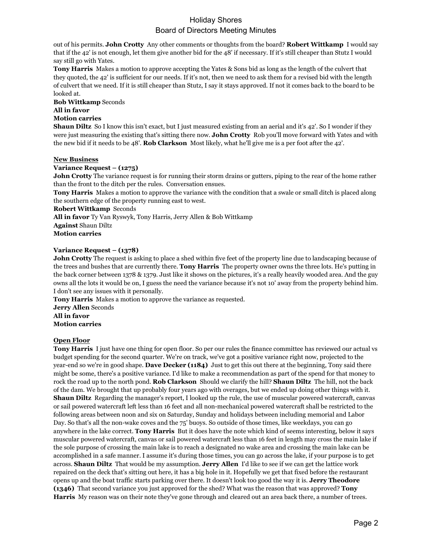# Holiday Shores Board of Directors Meeting Minutes

out of his permits. **John Crotty** Any other comments or thoughts from the board? **Robert Wittkamp** I would say that if the 42' is not enough, let them give another bid for the 48' if necessary. If it's still cheaper than Stutz I would say still go with Yates.

**Tony Harris** Makes a motion to approve accepting the Yates & Sons bid as long as the length of the culvert that they quoted, the 42' is sufficient for our needs. If it's not, then we need to ask them for a revised bid with the length of culvert that we need. If it is still cheaper than Stutz, I say it stays approved. If not it comes back to the board to be looked at.

**Bob Wittkamp** Seconds

### **All in favor**

### **Motion carries**

**Shaun Diltz** So I know this isn't exact, but I just measured existing from an aerial and it's 42'. So I wonder if they were just measuring the existing that's sitting there now. **John Crotty** Rob you'll move forward with Yates and with the new bid if it needs to be 48'. **Rob Clarkson** Most likely, what he'll give me is a per foot after the 42'.

### **New Business**

## **Variance Request – (1275)**

**John Crotty** The variance request is for running their storm drains or gutters, piping to the rear of the home rather than the front to the ditch per the rules. Conversation ensues.

**Tony Harris** Makes a motion to approve the variance with the condition that a swale or small ditch is placed along the southern edge of the property running east to west.

**Robert Wittkamp** Seconds

**All in favor** Ty Van Ryswyk, Tony Harris, Jerry Allen & Bob Wittkamp **Against** Shaun Diltz

**Motion carries**

## **Variance Request – (1378)**

**John Crotty** The request is asking to place a shed within five feet of the property line due to landscaping because of the trees and bushes that are currently there. **Tony Harris** The property owner owns the three lots. He's putting in the back corner between 1378 & 1379. Just like it shows on the pictures, it's a really heavily wooded area. And the guy owns all the lots it would be on, I guess the need the variance because it's not 10' away from the property behind him. I don't see any issues with it personally.

**Tony Harris** Makes a motion to approve the variance as requested. **Jerry Allen** Seconds **All in favor Motion carries**

### **Open Floor**

**Tony Harris** I just have one thing for open floor. So per our rules the finance committee has reviewed our actual vs budget spending for the second quarter. We're on track, we've got a positive variance right now, projected to the year-end so we're in good shape. **Dave Decker (1184)** Just to get this out there at the beginning, Tony said there might be some, there's a positive variance. I'd like to make a recommendation as part of the spend for that money to rock the road up to the north pond. **Rob Clarkson** Should we clarify the hill? **Shaun Diltz** The hill, not the back of the dam. We brought that up probably four years ago with overages, but we ended up doing other things with it. **Shaun Diltz** Regarding the manager's report, I looked up the rule, the use of muscular powered watercraft, canvas or sail powered watercraft left less than 16 feet and all non-mechanical powered watercraft shall be restricted to the following areas between noon and six on Saturday, Sunday and holidays between including memorial and Labor Day. So that's all the non-wake coves and the 75' buoys. So outside of those times, like weekdays, you can go anywhere in the lake correct. **Tony Harris** But it does have the note which kind of seems interesting, below it says muscular powered watercraft, canvas or sail powered watercraft less than 16 feet in length may cross the main lake if the sole purpose of crossing the main lake is to reach a designated no wake area and crossing the main lake can be accomplished in a safe manner. I assume it's during those times, you can go across the lake, if your purpose is to get across. **Shaun Diltz** That would be my assumption. **Jerry Allen** I'd like to see if we can get the lattice work repaired on the deck that's sitting out here, it has a big hole in it. Hopefully we get that fixed before the restaurant opens up and the boat traffic starts parking over there. It doesn't look too good the way it is. **Jerry Theodore (1346)** That second variance you just approved for the shed? What was the reason that was approved? **Tony Harris** My reason was on their note they've gone through and cleared out an area back there, a number of trees.